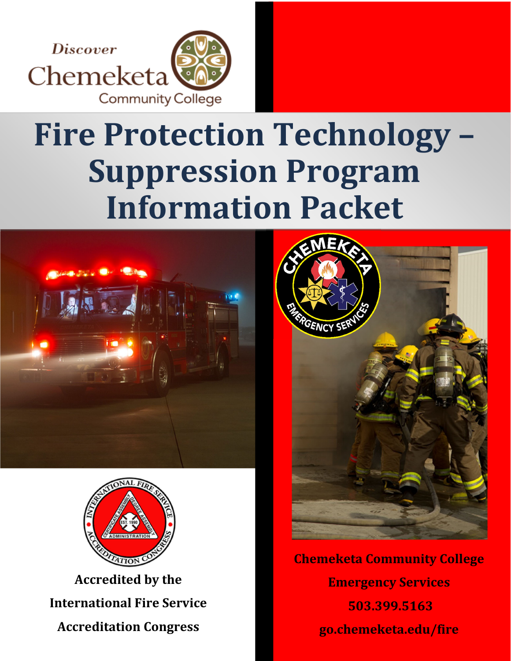

# **Fire Protection Technology – Suppression Program Information Packet**





**Accredited by the International Fire Service Accreditation Congress**



**Chemeketa Community College Emergency Services 503.399.5163 go.chemeketa.edu/fire**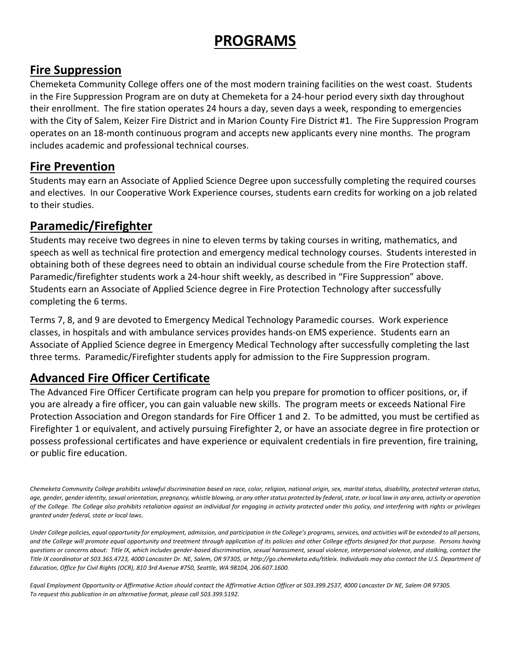### **PROGRAMS**

### **Fire Suppression**

Chemeketa Community College offers one of the most modern training facilities on the west coast. Students in the Fire Suppression Program are on duty at Chemeketa for a 24‐hour period every sixth day throughout their enrollment. The fire station operates 24 hours a day, seven days a week, responding to emergencies with the City of Salem, Keizer Fire District and in Marion County Fire District #1. The Fire Suppression Program operates on an 18‐month continuous program and accepts new applicants every nine months. The program includes academic and professional technical courses.

### **Fire Prevention**

Students may earn an Associate of Applied Science Degree upon successfully completing the required courses and electives. In our Cooperative Work Experience courses, students earn credits for working on a job related to their studies.

### **Paramedic/Firefighter**

Students may receive two degrees in nine to eleven terms by taking courses in writing, mathematics, and speech as well as technical fire protection and emergency medical technology courses. Students interested in obtaining both of these degrees need to obtain an individual course schedule from the Fire Protection staff. Paramedic/firefighter students work a 24‐hour shift weekly, as described in "Fire Suppression" above. Students earn an Associate of Applied Science degree in Fire Protection Technology after successfully completing the 6 terms.

Terms 7, 8, and 9 are devoted to Emergency Medical Technology Paramedic courses. Work experience classes, in hospitals and with ambulance services provides hands‐on EMS experience. Students earn an Associate of Applied Science degree in Emergency Medical Technology after successfully completing the last three terms. Paramedic/Firefighter students apply for admission to the Fire Suppression program.

### **Advanced Fire Officer Certificate**

The Advanced Fire Officer Certificate program can help you prepare for promotion to officer positions, or, if you are already a fire officer, you can gain valuable new skills. The program meets or exceeds National Fire Protection Association and Oregon standards for Fire Officer 1 and 2. To be admitted, you must be certified as Firefighter 1 or equivalent, and actively pursuing Firefighter 2, or have an associate degree in fire protection or possess professional certificates and have experience or equivalent credentials in fire prevention, fire training, or public fire education.

Chemeketa Community College prohibits unlawful discrimination based on race, color, religion, national origin, sex, marital status, disability, protected veteran status, age, gender, gender identity, sexual orientation, pregnancy, whistle blowing, or any other status protected by federal, state, or local law in any area, activity or operation of the College. The College also prohibits retaliation against an individual for engaging in activity protected under this policy, and interfering with rights or privileges *granted under federal, state or local laws.* 

Under College policies, equal opportunity for employment, admission, and participation in the College's programs, services, and activities will be extended to all persons, and the College will promote equal opportunity and treatment through application of its policies and other College efforts designed for that purpose. Persons having questions or concerns about: Title IX, which includes gender-based discrimination, sexual harassment, sexual violence, interpersonal violence, and stalking, contact the Title IX coordinator at 503.365.4723, 4000 Lancaster Dr. NE, Salem, OR 97305, or http://go.chemeketa.edu/titleix. Individuals may also contact the U.S. Department of *Education, Office for Civil Rights (OCR), 810 3rd Avenue #750, Seattle, WA 98104, 206.607.1600.* 

Equal Employment Opportunity or Affirmative Action should contact the Affirmative Action Officer at 503.399.2537, 4000 Lancaster Dr NE, Salem OR 97305. *To request this publication in an alternative format, please call 503.399.5192.*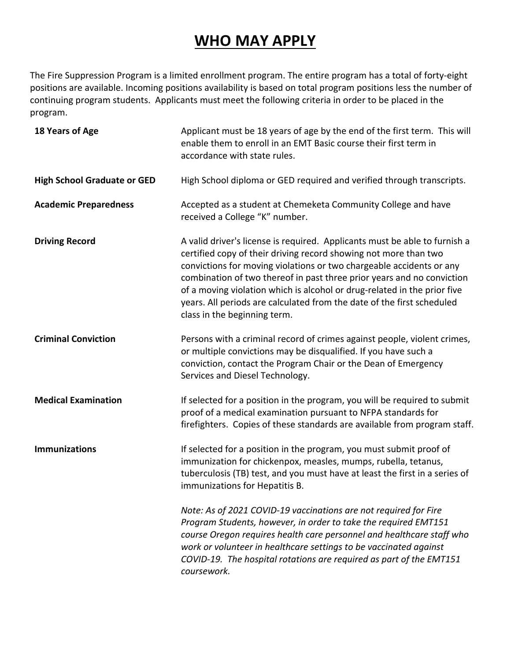### **WHO MAY APPLY**

The Fire Suppression Program is a limited enrollment program. The entire program has a total of forty‐eight positions are available. Incoming positions availability is based on total program positions less the number of continuing program students. Applicants must meet the following criteria in order to be placed in the program.

| 18 Years of Age                    | Applicant must be 18 years of age by the end of the first term. This will<br>enable them to enroll in an EMT Basic course their first term in<br>accordance with state rules.                                                                                                                                                                                                                                                                                                          |
|------------------------------------|----------------------------------------------------------------------------------------------------------------------------------------------------------------------------------------------------------------------------------------------------------------------------------------------------------------------------------------------------------------------------------------------------------------------------------------------------------------------------------------|
| <b>High School Graduate or GED</b> | High School diploma or GED required and verified through transcripts.                                                                                                                                                                                                                                                                                                                                                                                                                  |
| <b>Academic Preparedness</b>       | Accepted as a student at Chemeketa Community College and have<br>received a College "K" number.                                                                                                                                                                                                                                                                                                                                                                                        |
| <b>Driving Record</b>              | A valid driver's license is required. Applicants must be able to furnish a<br>certified copy of their driving record showing not more than two<br>convictions for moving violations or two chargeable accidents or any<br>combination of two thereof in past three prior years and no conviction<br>of a moving violation which is alcohol or drug-related in the prior five<br>years. All periods are calculated from the date of the first scheduled<br>class in the beginning term. |
| <b>Criminal Conviction</b>         | Persons with a criminal record of crimes against people, violent crimes,<br>or multiple convictions may be disqualified. If you have such a<br>conviction, contact the Program Chair or the Dean of Emergency<br>Services and Diesel Technology.                                                                                                                                                                                                                                       |
| <b>Medical Examination</b>         | If selected for a position in the program, you will be required to submit<br>proof of a medical examination pursuant to NFPA standards for<br>firefighters. Copies of these standards are available from program staff.                                                                                                                                                                                                                                                                |
| <b>Immunizations</b>               | If selected for a position in the program, you must submit proof of<br>immunization for chickenpox, measles, mumps, rubella, tetanus,<br>tuberculosis (TB) test, and you must have at least the first in a series of<br>immunizations for Hepatitis B.                                                                                                                                                                                                                                 |
|                                    | Note: As of 2021 COVID-19 vaccinations are not required for Fire<br>Program Students, however, in order to take the required EMT151<br>course Oregon requires health care personnel and healthcare staff who<br>work or volunteer in healthcare settings to be vaccinated against<br>COVID-19. The hospital rotations are required as part of the EMT151<br>coursework.                                                                                                                |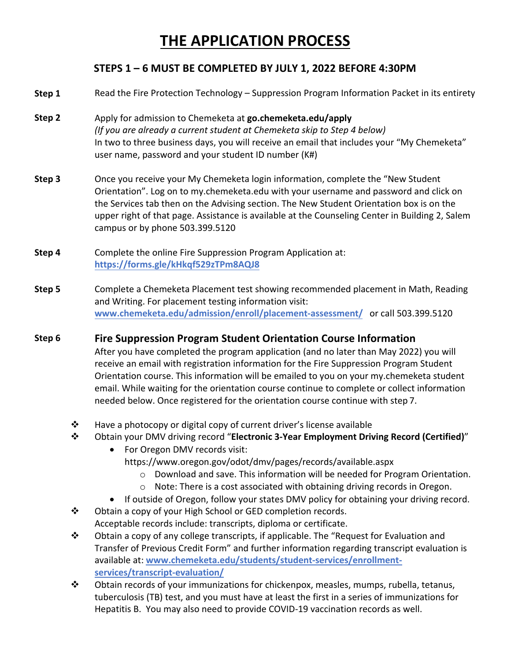### **THE APPLICATION PROCESS**

### **STEPS 1 – 6 MUST BE COMPLETED BY JULY 1, 2022 BEFORE 4:30PM**

- **Step 1** Read the Fire Protection Technology – Suppression Program Information Packet in its entirety
- **Step 2** Apply for admission to Chemeketa at **go.chemeketa.edu/apply** *(If you are already a current student at Chemeketa skip to Step 4 below)* In two to three business days, you will receive an email that includes your "My Chemeketa" user name, password and your student ID number (K#)
- **Step 3** Once you receive your My Chemeketa login information, complete the "New Student Orientation". Log on to my.chemeketa.edu with your username and password and click on the Services tab then on the Advising section. The New Student Orientation box is on the upper right of that page. Assistance is available at the Counseling Center in Building 2, Salem campus or by phone 503.399.5120
- **Step 4** Complete the online Fire Suppression Program Application at: **https://forms.gle/kHkqf529zTPm8AQJ8**
- **Step 5** Complete a Chemeketa Placement test showing recommended placement in Math, Reading and Writing. For placement testing information visit: **[www.chemeketa.edu/admission/enroll/placement](https://www.chemeketa.edu/admission/enroll/placement-assessment/)‐assessment/** or call 503.399.5120

#### **Step 6 Fire Suppression Program Student Orientation Course Information**

After you have completed the program application (and no later than May 2022) you will receive an email with registration information for the Fire Suppression Program Student Orientation course. This information will be emailed to you on your my.chemeketa student email. While waiting for the orientation course continue to complete or collect information needed below. Once registered for the orientation course continue with step 7.

- $\div$  Have a photocopy or digital copy of current driver's license available
- Obtain your DMV driving record "**Electronic 3‐Year Employment Driving Record (Certified)**"
	- For Oregon DMV records visit: https://www.oregon.gov/odot/dmv/pages/records/available.aspx
		- $\circ$  Download and save. This information will be needed for Program Orientation.
		- o Note: There is a cost associated with obtaining driving records in Oregon.
	- If outside of Oregon, follow your states DMV policy for obtaining your driving record.
- ◆ Obtain a copy of your High School or GED completion records. Acceptable records include: transcripts, diploma or certificate.
- $\clubsuit$  Obtain a copy of any college transcripts, if applicable. The "Request for Evaluation and Transfer of Previous Credit Form" and further information regarding transcript evaluation is available at: **[www.chemeketa.edu/students/student](https://www.chemeketa.edu/students/student-services/enrollment-services/transcript-evaluation/)‐services/enrollment‐ services/transcript‐evaluation/**
- Obtain records of your immunizations for chickenpox, measles, mumps, rubella, tetanus, tuberculosis (TB) test, and you must have at least the first in a series of immunizations for Hepatitis B. You may also need to provide COVID‐19 vaccination records as well.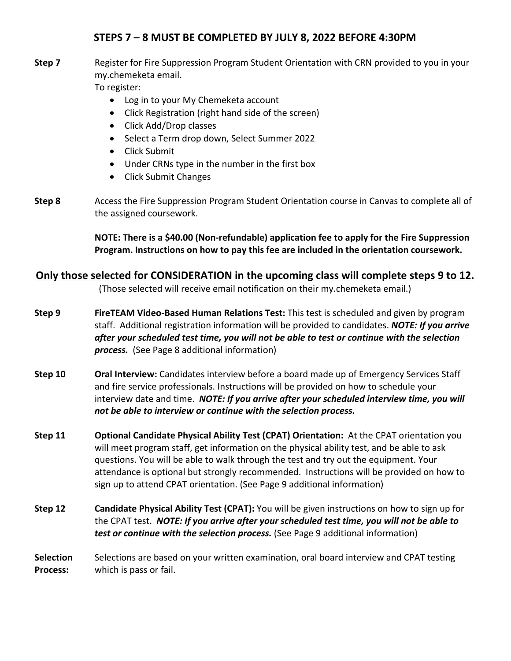### **STEPS 7 – 8 MUST BE COMPLETED BY JULY 8, 2022 BEFORE 4:30PM**

**Step 7** Register for Fire Suppression Program Student Orientation with CRN provided to you in your my.chemeketa email.

To register:

- Log in to your My Chemeketa account
- Click Registration (right hand side of the screen)
- Click Add/Drop classes
- Select a Term drop down, Select Summer 2022
- Click Submit
- Under CRNs type in the number in the first box
- Click Submit Changes
- **Step 8** Access the Fire Suppression Program Student Orientation course in Canvas to complete all of the assigned coursework.

**NOTE: There is a \$40.00 (Non‐refundable) application fee to apply for the Fire Suppression Program. Instructions on how to pay this fee are included in the orientation coursework.**

### **Only those selected for CONSIDERATION in the upcoming class will complete steps 9 to 12.**

(Those selected will receive email notification on their my.chemeketa email.)

- **Step 9 FireTEAM Video‐Based Human Relations Test:** This test is scheduled and given by program staff. Additional registration information will be provided to candidates. *NOTE: If you arrive after your scheduled test time, you will not be able to test or continue with the selection* **process.** (See Page 8 additional information)
- **Step 10 Oral Interview:** Candidates interview before a board made up of Emergency Services Staff and fire service professionals. Instructions will be provided on how to schedule your interview date and time. *NOTE: If you arrive after your scheduled interview time, you will not be able to interview or continue with the selection process.*
- **Step 11 Optional Candidate Physical Ability Test (CPAT) Orientation:** At the CPAT orientation you will meet program staff, get information on the physical ability test, and be able to ask questions. You will be able to walk through the test and try out the equipment. Your attendance is optional but strongly recommended. Instructions will be provided on how to sign up to attend CPAT orientation. (See Page 9 additional information)
- **Step 12 Candidate Physical Ability Test (CPAT):** You will be given instructions on how to sign up for the CPAT test. *NOTE: If you arrive after your scheduled test time, you will not be able to test or continue with the selection process.* (See Page 9 additional information)

**Selection Process:** Selections are based on your written examination, oral board interview and CPAT testing which is pass or fail.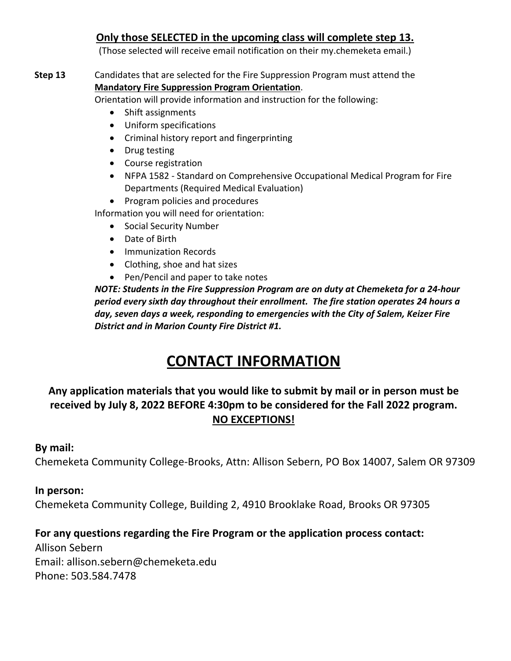### **Only those SELECTED in the upcoming class will complete step 13.**

(Those selected will receive email notification on their my.chemeketa email.)

### **Step 13** Candidates that are selected for the Fire Suppression Program must attend the **Mandatory Fire Suppression Program Orientation**.

Orientation will provide information and instruction for the following:

- Shift assignments
- Uniform specifications
- Criminal history report and fingerprinting
- Drug testing
- Course registration
- NFPA 1582 ‐ Standard on Comprehensive Occupational Medical Program for Fire Departments (Required Medical Evaluation)
- Program policies and procedures

Information you will need for orientation:

- Social Security Number
- Date of Birth
- Immunization Records
- Clothing, shoe and hat sizes
- Pen/Pencil and paper to take notes

*NOTE: Students in the Fire Suppression Program are on duty at Chemeketa for a 24‐hour period every sixth day throughout their enrollment. The fire station operates 24 hours a day, seven days a week, responding to emergencies with the City of Salem, Keizer Fire District and in Marion County Fire District #1.*

### **CONTACT INFORMATION**

### **Any application materials that you would like to submit by mail or in person must be received by July 8, 2022 BEFORE 4:30pm to be considered for the Fall 2022 program. NO EXCEPTIONS!**

### **By mail:**

Chemeketa Community College‐Brooks, Attn: Allison Sebern, PO Box 14007, Salem OR 97309

### **In person:**

Chemeketa Community College, Building 2, 4910 Brooklake Road, Brooks OR 97305

### **For any questions regarding the Fire Program or the application process contact:**

Allison Sebern Email: allison.sebern@chemeketa.edu Phone: 503.584.7478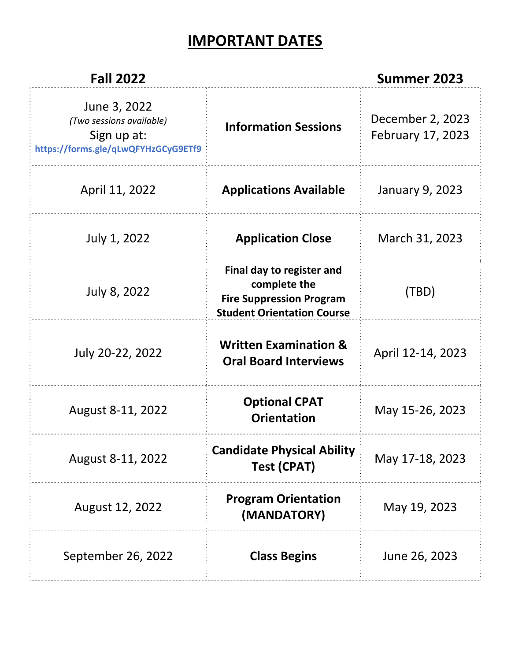### **IMPORTANT DATES**

| <b>Fall 2022</b>                                                                               |                                                                                                                   | <b>Summer 2023</b>                    |
|------------------------------------------------------------------------------------------------|-------------------------------------------------------------------------------------------------------------------|---------------------------------------|
| June 3, 2022<br>(Two sessions available)<br>Sign up at:<br>https://forms.gle/qLwQFYHzGCyG9ETf9 | <b>Information Sessions</b>                                                                                       | December 2, 2023<br>February 17, 2023 |
| April 11, 2022                                                                                 | <b>Applications Available</b>                                                                                     | January 9, 2023                       |
| July 1, 2022                                                                                   | <b>Application Close</b>                                                                                          | March 31, 2023                        |
| July 8, 2022                                                                                   | Final day to register and<br>complete the<br><b>Fire Suppression Program</b><br><b>Student Orientation Course</b> | (TBD)                                 |
| July 20-22, 2022                                                                               | <b>Written Examination &amp;</b><br><b>Oral Board Interviews</b>                                                  | April 12-14, 2023                     |
| August 8-11, 2022                                                                              | <b>Optional CPAT</b><br><b>Orientation</b>                                                                        | May 15-26, 2023                       |
| August 8-11, 2022                                                                              | <b>Candidate Physical Ability</b><br><b>Test (CPAT)</b>                                                           | May 17-18, 2023                       |
| August 12, 2022                                                                                | <b>Program Orientation</b><br>(MANDATORY)                                                                         | May 19, 2023                          |
| September 26, 2022                                                                             | <b>Class Begins</b>                                                                                               | June 26, 2023                         |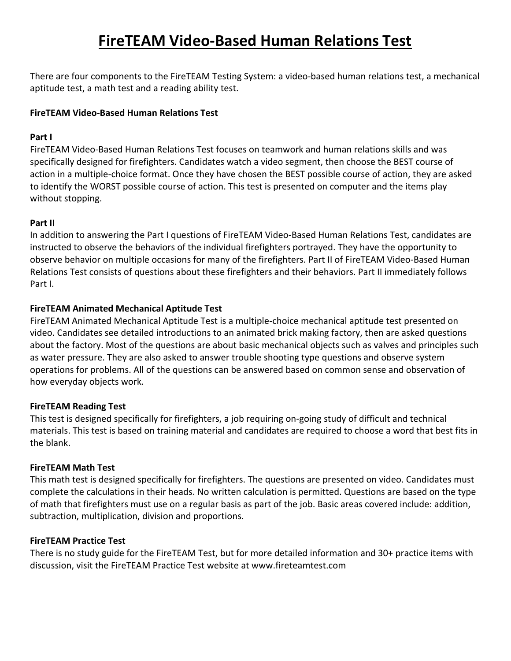### **FireTEAM Video‐Based Human Relations Test**

There are four components to the FireTEAM Testing System: a video‐based human relations test, a mechanical aptitude test, a math test and a reading ability test.

#### **FireTEAM Video‐Based Human Relations Test**

#### **Part I**

FireTEAM Video‐Based Human Relations Test focuses on teamwork and human relations skills and was specifically designed for firefighters. Candidates watch a video segment, then choose the BEST course of action in a multiple-choice format. Once they have chosen the BEST possible course of action, they are asked to identify the WORST possible course of action. This test is presented on computer and the items play without stopping.

#### **Part II**

In addition to answering the Part I questions of FireTEAM Video‐Based Human Relations Test, candidates are instructed to observe the behaviors of the individual firefighters portrayed. They have the opportunity to observe behavior on multiple occasions for many of the firefighters. Part II of FireTEAM Video‐Based Human Relations Test consists of questions about these firefighters and their behaviors. Part II immediately follows Part I.

#### **FireTEAM Animated Mechanical Aptitude Test**

FireTEAM Animated Mechanical Aptitude Test is a multiple‐choice mechanical aptitude test presented on video. Candidates see detailed introductions to an animated brick making factory, then are asked questions about the factory. Most of the questions are about basic mechanical objects such as valves and principles such as water pressure. They are also asked to answer trouble shooting type questions and observe system operations for problems. All of the questions can be answered based on common sense and observation of how everyday objects work.

#### **FireTEAM Reading Test**

This test is designed specifically for firefighters, a job requiring on‐going study of difficult and technical materials. This test is based on training material and candidates are required to choose a word that best fits in the blank.

#### **FireTEAM Math Test**

This math test is designed specifically for firefighters. The questions are presented on video. Candidates must complete the calculations in their heads. No written calculation is permitted. Questions are based on the type of math that firefighters must use on a regular basis as part of the job. Basic areas covered include: addition, subtraction, multiplication, division and proportions.

#### **FireTEAM Practice Test**

There is no study guide for the FireTEAM Test, but for more detailed information and 30+ practice items with discussion, visit the FireTEAM Practice Test website at www.fireteamtest.com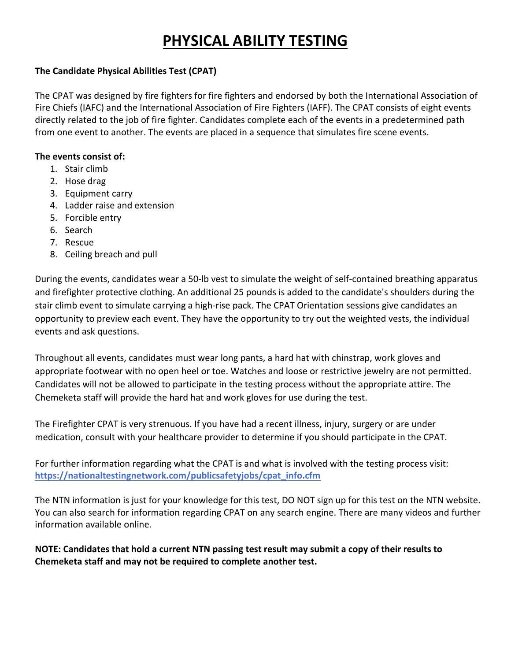### **PHYSICAL ABILITY TESTING**

### **The Candidate Physical Abilities Test (CPAT)**

The CPAT was designed by fire fighters for fire fighters and endorsed by both the International Association of Fire Chiefs (IAFC) and the International Association of Fire Fighters (IAFF). The CPAT consists of eight events directly related to the job of fire fighter. Candidates complete each of the events in a predetermined path from one event to another. The events are placed in a sequence that simulates fire scene events.

#### **The events consist of:**

- 1. Stair climb
- 2. Hose drag
- 3. Equipment carry
- 4. Ladder raise and extension
- 5. Forcible entry
- 6. Search
- 7. Rescue
- 8. Ceiling breach and pull

During the events, candidates wear a 50‐lb vest to simulate the weight of self‐contained breathing apparatus and firefighter protective clothing. An additional 25 pounds is added to the candidate's shoulders during the stair climb event to simulate carrying a high‐rise pack. The CPAT Orientation sessions give candidates an opportunity to preview each event. They have the opportunity to try out the weighted vests, the individual events and ask questions.

Throughout all events, candidates must wear long pants, a hard hat with chinstrap, work gloves and appropriate footwear with no open heel or toe. Watches and loose or restrictive jewelry are not permitted. Candidates will not be allowed to participate in the testing process without the appropriate attire. The Chemeketa staff will provide the hard hat and work gloves for use during the test.

The Firefighter CPAT is very strenuous. If you have had a recent illness, injury, surgery or are under medication, consult with your healthcare provider to determine if you should participate in the CPAT.

For further information regarding what the CPAT is and what is involved with the testing process visit: **https://nationaltestingnetwork.com/publicsafetyjobs/cpat\_info.cfm**

The NTN information is just for your knowledge for this test, DO NOT sign up for this test on the NTN website. You can also search for information regarding CPAT on any search engine. There are many videos and further information available online.

**NOTE: Candidates that hold a current NTN passing test result may submit a copy of their results to Chemeketa staff and may not be required to complete another test.**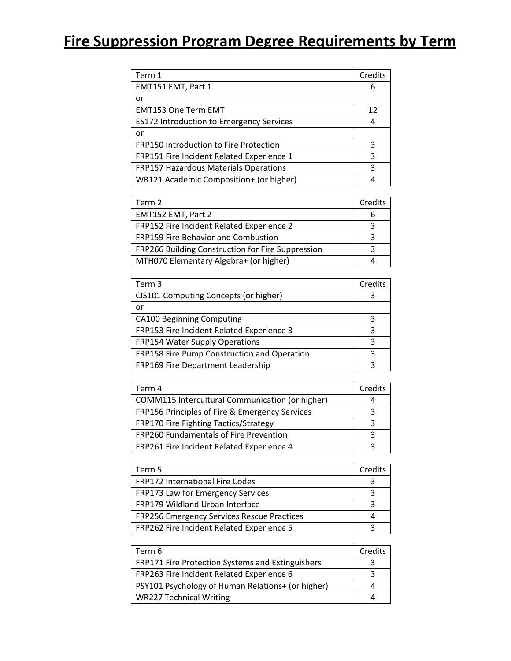## **Fire Suppression Program Degree Requirements by Term**

| Term 1                                          | Credits |
|-------------------------------------------------|---------|
| EMT151 EMT, Part 1                              | 6       |
| or                                              |         |
| <b>EMT153 One Term EMT</b>                      | 12      |
| <b>ES172 Introduction to Emergency Services</b> | 4       |
| or                                              |         |
| FRP150 Introduction to Fire Protection          | 3       |
| FRP151 Fire Incident Related Experience 1       | 3       |
| <b>FRP157 Hazardous Materials Operations</b>    | 3       |
| WR121 Academic Composition+ (or higher)         |         |

| Term 2                                            | Credits |
|---------------------------------------------------|---------|
| EMT152 EMT, Part 2                                |         |
| FRP152 Fire Incident Related Experience 2         |         |
| FRP159 Fire Behavior and Combustion               |         |
| FRP266 Building Construction for Fire Suppression |         |
| MTH070 Elementary Algebra+ (or higher)            |         |

| Term 3                                      | Credits |
|---------------------------------------------|---------|
| CIS101 Computing Concepts (or higher)       | 3       |
| or                                          |         |
| <b>CA100 Beginning Computing</b>            | 3       |
| FRP153 Fire Incident Related Experience 3   | 3       |
| <b>FRP154 Water Supply Operations</b>       | 3       |
| FRP158 Fire Pump Construction and Operation | ς       |
| FRP169 Fire Department Leadership           | ٦       |

| Term 4                                                 | Credits |
|--------------------------------------------------------|---------|
| <b>COMM115 Intercultural Communication (or higher)</b> |         |
| FRP156 Principles of Fire & Emergency Services         | っ       |
| FRP170 Fire Fighting Tactics/Strategy                  |         |
| FRP260 Fundamentals of Fire Prevention                 |         |
| FRP261 Fire Incident Related Experience 4              |         |

| Term 5                                            | Credits |
|---------------------------------------------------|---------|
| <b>FRP172 International Fire Codes</b>            |         |
| FRP173 Law for Emergency Services                 |         |
| FRP179 Wildland Urban Interface                   |         |
| <b>FRP256 Emergency Services Rescue Practices</b> |         |
| FRP262 Fire Incident Related Experience 5         |         |

| Term 6                                            | Credits |
|---------------------------------------------------|---------|
| FRP171 Fire Protection Systems and Extinguishers  |         |
| FRP263 Fire Incident Related Experience 6         |         |
| PSY101 Psychology of Human Relations+ (or higher) |         |
| <b>WR227 Technical Writing</b>                    |         |